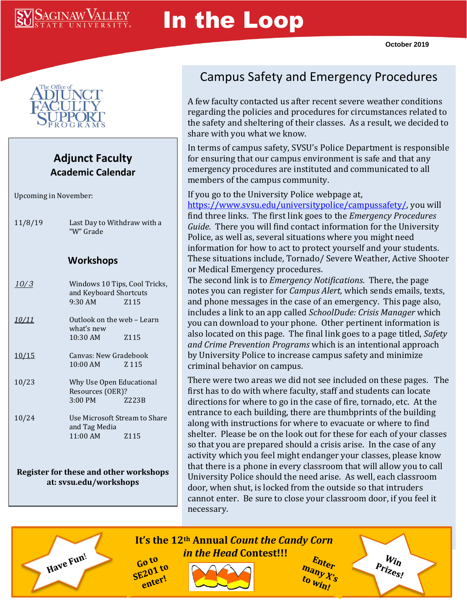## **SAGINAW VALLEY**

# In the Loop



#### **Adjunct Faculty Academic Calendar**

Upcoming in November:

11/8/19 Last Day to Withdraw with a "W" Grade

#### **Workshops**

| <i>10/3</i>   | Windows 10 Tips, Cool Tricks,<br>and Keyboard Shortcuts<br>$9:30 \text{ AM}$ $2115$ |                  |
|---------------|-------------------------------------------------------------------------------------|------------------|
| <u> 10/11</u> | Outlook on the web – Learn<br>what's new                                            |                  |
|               | $10:30$ AM                                                                          | Z <sub>115</sub> |
| 10/15         | Canvas: New Gradebook                                                               |                  |
|               | $10:00$ AM $2.115$                                                                  |                  |
| 10/23         | Why Use Open Educational<br>Resources (OER)?                                        |                  |
|               | 3:00 PM Z223B                                                                       |                  |
| 10/24         | Use Microsoft Stream to Share<br>and Tag Media                                      |                  |
|               | $11:00$ AM $2115$                                                                   |                  |
|               |                                                                                     |                  |
|               |                                                                                     |                  |

**Register for these and other workshops at: svsu.edu/workshops**

Have Fun!

### Campus Safety and Emergency Procedures

A few faculty contacted us after recent severe weather conditions regarding the policies and procedures for circumstances related to the safety and sheltering of their classes. As a result, we decided to share with you what we know.

In terms of campus safety, SVSU's Police Department is responsible for ensuring that our campus environment is safe and that any emergency procedures are instituted and communicated to all members of the campus community.

If you go to the University Police webpage at, [https://www.svsu.edu/universitypolice/campussafety/,](https://www.svsu.edu/universitypolice/campussafety/) you will find three links. The first link goes to the *Emergency Procedures Guide*. There you will find contact information for the University Police, as well as, several situations where you might need information for how to act to protect yourself and your students. These situations include, Tornado/ Severe Weather, Active Shooter or Medical Emergency procedures.

The second link is to *Emergency Notifications*. There, the page notes you can register for *Campus Alert,* which sends emails, texts, and phone messages in the case of an emergency. This page also, includes a link to an app called *SchoolDude: Crisis Manager* which you can download to your phone. Other pertinent information is also located on this page. The final link goes to a page titled, *Safety and Crime Prevention Programs* which is an intentional approach by University Police to increase campus safety and minimize criminal behavior on campus.

There were two areas we did not see included on these pages. The first has to do with where faculty, staff and students can locate directions for where to go in the case of fire, tornado, etc. At the entrance to each building, there are thumbprints of the building along with instructions for where to evacuate or where to find shelter. Please be on the look out for these for each of your classes so that you are prepared should a crisis arise. In the case of any activity which you feel might endanger your classes, please know that there is a phone in every classroom that will allow you to call University Police should the need arise. As well, each classroom door, when shut, is locked from the outside so that intruders cannot enter. Be sure to close your classroom door, if you feel it necessary.

#### **It's the 12th Annual** *Count the Candy Corn in the Head* **Contest!!!**